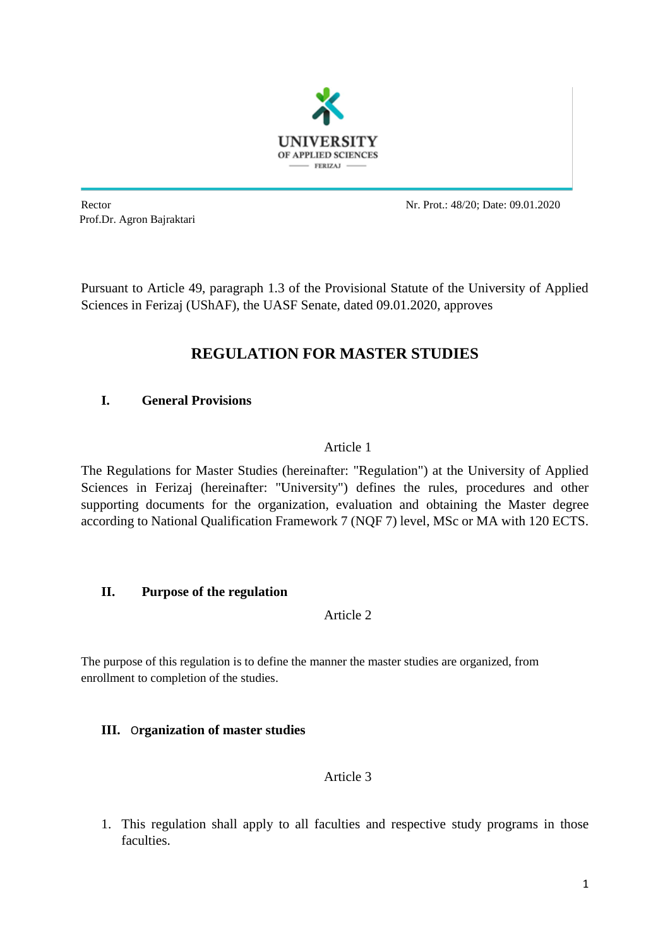

Prof.Dr. Agron Bajraktari

Rector Nr. Prot.: 48/20; Date: 09.01.2020

Pursuant to Article 49, paragraph 1.3 of the Provisional Statute of the University of Applied Sciences in Ferizaj (UShAF), the UASF Senate, dated 09.01.2020, approves

# **REGULATION FOR MASTER STUDIES**

## **I. General Provisions**

## Article 1

The Regulations for Master Studies (hereinafter: "Regulation") at the University of Applied Sciences in Ferizaj (hereinafter: "University") defines the rules, procedures and other supporting documents for the organization, evaluation and obtaining the Master degree according to National Qualification Framework 7 (NQF 7) level, MSc or MA with 120 ECTS.

## **II. Purpose of the regulation**

Article 2

The purpose of this regulation is to define the manner the master studies are organized, from enrollment to completion of the studies.

## **III.** O**rganization of master studies**

## Article 3

1. This regulation shall apply to all faculties and respective study programs in those faculties.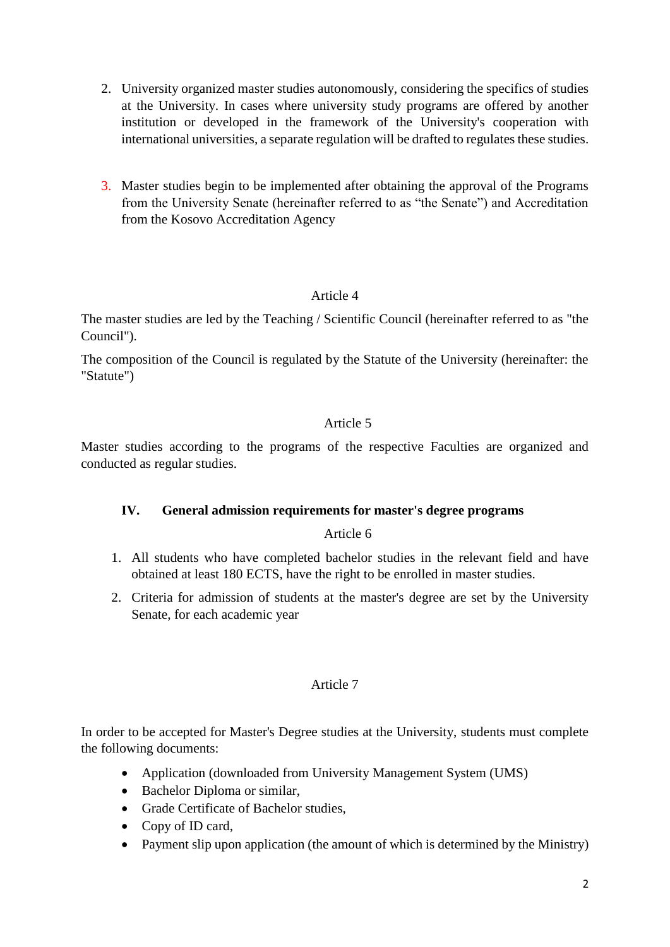- 2. University organized master studies autonomously, considering the specifics of studies at the University. In cases where university study programs are offered by another institution or developed in the framework of the University's cooperation with international universities, a separate regulation will be drafted to regulates these studies.
- 3. Master studies begin to be implemented after obtaining the approval of the Programs from the University Senate (hereinafter referred to as "the Senate") and Accreditation from the Kosovo Accreditation Agency

The master studies are led by the Teaching / Scientific Council (hereinafter referred to as "the Council").

The composition of the Council is regulated by the Statute of the University (hereinafter: the "Statute")

## Article 5

Master studies according to the programs of the respective Faculties are organized and conducted as regular studies.

## **IV. General admission requirements for master's degree programs**

## Article 6

- 1. All students who have completed bachelor studies in the relevant field and have obtained at least 180 ECTS, have the right to be enrolled in master studies.
- 2. Criteria for admission of students at the master's degree are set by the University Senate, for each academic year

## Article 7

In order to be accepted for Master's Degree studies at the University, students must complete the following documents:

- Application (downloaded from University Management System (UMS)
- Bachelor Diploma or similar,
- Grade Certificate of Bachelor studies,
- Copy of ID card,
- Payment slip upon application (the amount of which is determined by the Ministry)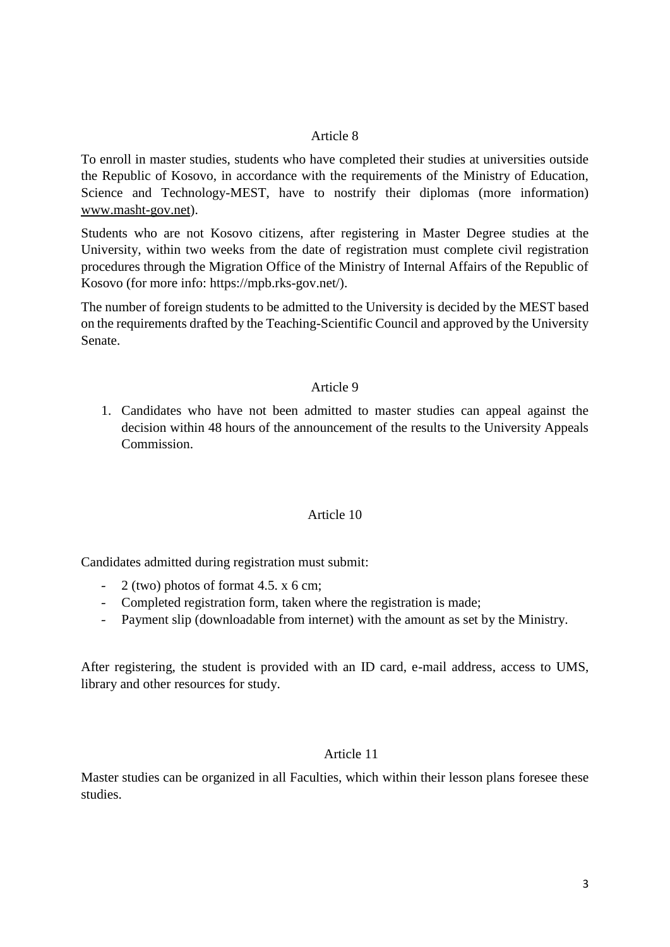To enroll in master studies, students who have completed their studies at universities outside the Republic of Kosovo, in accordance with the requirements of the Ministry of Education, Science and Technology-MEST, have to nostrify their diplomas (more information) [www.masht-gov.net\)](http://www.masht-gov.net/).

Students who are not Kosovo citizens, after registering in Master Degree studies at the University, within two weeks from the date of registration must complete civil registration procedures through the Migration Office of the Ministry of Internal Affairs of the Republic of Kosovo (for more info: https://mpb.rks-gov.net/).

The number of foreign students to be admitted to the University is decided by the MEST based on the requirements drafted by the Teaching-Scientific Council and approved by the University Senate.

## Article 9

1. Candidates who have not been admitted to master studies can appeal against the decision within 48 hours of the announcement of the results to the University Appeals Commission.

#### Article 10

Candidates admitted during registration must submit:

- $-2$  (two) photos of format 4.5. x 6 cm;
- Completed registration form, taken where the registration is made;
- Payment slip (downloadable from internet) with the amount as set by the Ministry.

After registering, the student is provided with an ID card, e-mail address, access to UMS, library and other resources for study.

#### Article 11

Master studies can be organized in all Faculties, which within their lesson plans foresee these studies.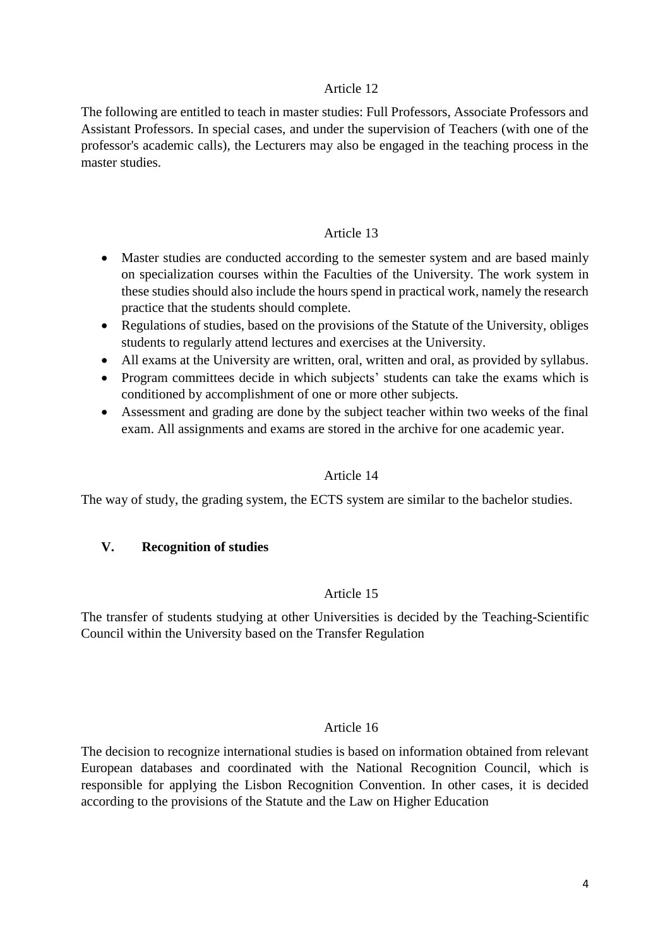The following are entitled to teach in master studies: Full Professors, Associate Professors and Assistant Professors. In special cases, and under the supervision of Teachers (with one of the professor's academic calls), the Lecturers may also be engaged in the teaching process in the master studies.

#### Article 13

- Master studies are conducted according to the semester system and are based mainly on specialization courses within the Faculties of the University. The work system in these studies should also include the hours spend in practical work, namely the research practice that the students should complete.
- Regulations of studies, based on the provisions of the Statute of the University, obliges students to regularly attend lectures and exercises at the University.
- All exams at the University are written, oral, written and oral, as provided by syllabus.
- Program committees decide in which subjects' students can take the exams which is conditioned by accomplishment of one or more other subjects.
- Assessment and grading are done by the subject teacher within two weeks of the final exam. All assignments and exams are stored in the archive for one academic year.

#### Article 14

The way of study, the grading system, the ECTS system are similar to the bachelor studies.

#### **V. Recognition of studies**

#### Article 15

The transfer of students studying at other Universities is decided by the Teaching-Scientific Council within the University based on the Transfer Regulation

#### Article 16

The decision to recognize international studies is based on information obtained from relevant European databases and coordinated with the National Recognition Council, which is responsible for applying the Lisbon Recognition Convention. In other cases, it is decided according to the provisions of the Statute and the Law on Higher Education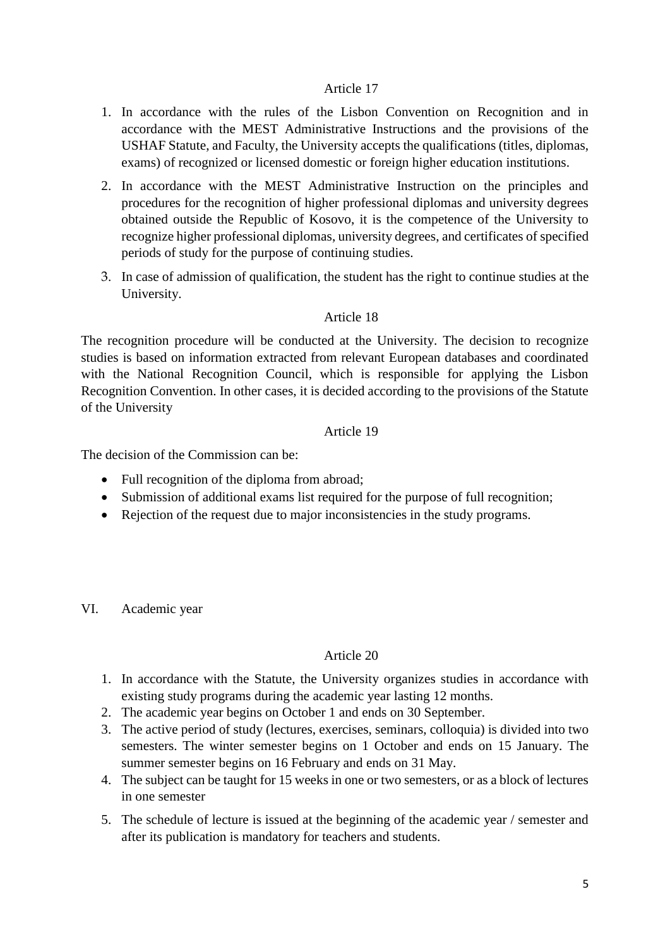- 1. In accordance with the rules of the Lisbon Convention on Recognition and in accordance with the MEST Administrative Instructions and the provisions of the USHAF Statute, and Faculty, the University accepts the qualifications (titles, diplomas, exams) of recognized or licensed domestic or foreign higher education institutions.
- 2. In accordance with the MEST Administrative Instruction on the principles and procedures for the recognition of higher professional diplomas and university degrees obtained outside the Republic of Kosovo, it is the competence of the University to recognize higher professional diplomas, university degrees, and certificates of specified periods of study for the purpose of continuing studies.
- 3. In case of admission of qualification, the student has the right to continue studies at the University.

## Article 18

The recognition procedure will be conducted at the University. The decision to recognize studies is based on information extracted from relevant European databases and coordinated with the National Recognition Council, which is responsible for applying the Lisbon Recognition Convention. In other cases, it is decided according to the provisions of the Statute of the University

## Article 19

The decision of the Commission can be:

- Full recognition of the diploma from abroad;
- Submission of additional exams list required for the purpose of full recognition;
- Rejection of the request due to major inconsistencies in the study programs.

VI. Academic year

- 1. In accordance with the Statute, the University organizes studies in accordance with existing study programs during the academic year lasting 12 months.
- 2. The academic year begins on October 1 and ends on 30 September.
- 3. The active period of study (lectures, exercises, seminars, colloquia) is divided into two semesters. The winter semester begins on 1 October and ends on 15 January. The summer semester begins on 16 February and ends on 31 May.
- 4. The subject can be taught for 15 weeks in one or two semesters, or as a block of lectures in one semester
- 5. The schedule of lecture is issued at the beginning of the academic year / semester and after its publication is mandatory for teachers and students.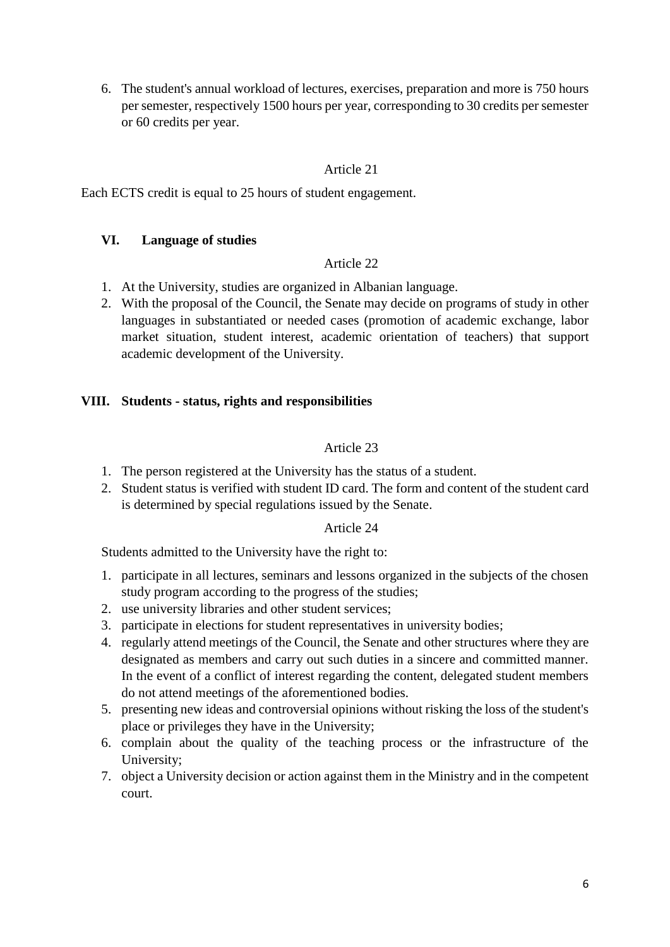6. The student's annual workload of lectures, exercises, preparation and more is 750 hours per semester, respectively 1500 hours per year, corresponding to 30 credits per semester or 60 credits per year.

## Article 21

Each ECTS credit is equal to 25 hours of student engagement.

## **VI. Language of studies**

#### Article 22

- 1. At the University, studies are organized in Albanian language.
- 2. With the proposal of the Council, the Senate may decide on programs of study in other languages in substantiated or needed cases (promotion of academic exchange, labor market situation, student interest, academic orientation of teachers) that support academic development of the University.

## **VIII. Students - status, rights and responsibilities**

## Article 23

- 1. The person registered at the University has the status of a student.
- 2. Student status is verified with student ID card. The form and content of the student card is determined by special regulations issued by the Senate.

#### Article 24

Students admitted to the University have the right to:

- 1. participate in all lectures, seminars and lessons organized in the subjects of the chosen study program according to the progress of the studies;
- 2. use university libraries and other student services;
- 3. participate in elections for student representatives in university bodies;
- 4. regularly attend meetings of the Council, the Senate and other structures where they are designated as members and carry out such duties in a sincere and committed manner. In the event of a conflict of interest regarding the content, delegated student members do not attend meetings of the aforementioned bodies.
- 5. presenting new ideas and controversial opinions without risking the loss of the student's place or privileges they have in the University;
- 6. complain about the quality of the teaching process or the infrastructure of the University;
- 7. object a University decision or action against them in the Ministry and in the competent court.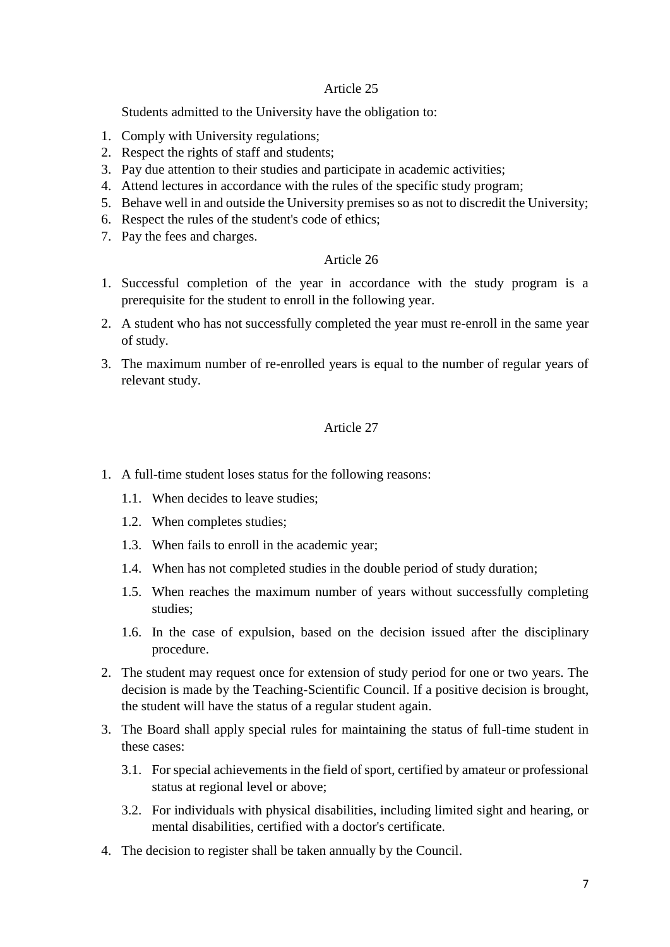Students admitted to the University have the obligation to:

- 1. Comply with University regulations;
- 2. Respect the rights of staff and students;
- 3. Pay due attention to their studies and participate in academic activities;
- 4. Attend lectures in accordance with the rules of the specific study program;
- 5. Behave well in and outside the University premises so as not to discredit the University;
- 6. Respect the rules of the student's code of ethics;
- 7. Pay the fees and charges.

## Article 26

- 1. Successful completion of the year in accordance with the study program is a prerequisite for the student to enroll in the following year.
- 2. A student who has not successfully completed the year must re-enroll in the same year of study.
- 3. The maximum number of re-enrolled years is equal to the number of regular years of relevant study.

- 1. A full-time student loses status for the following reasons:
	- 1.1. When decides to leave studies;
	- 1.2. When completes studies;
	- 1.3. When fails to enroll in the academic year;
	- 1.4. When has not completed studies in the double period of study duration;
	- 1.5. When reaches the maximum number of years without successfully completing studies;
	- 1.6. In the case of expulsion, based on the decision issued after the disciplinary procedure.
- 2. The student may request once for extension of study period for one or two years. The decision is made by the Teaching-Scientific Council. If a positive decision is brought, the student will have the status of a regular student again.
- 3. The Board shall apply special rules for maintaining the status of full-time student in these cases:
	- 3.1. For special achievements in the field of sport, certified by amateur or professional status at regional level or above;
	- 3.2. For individuals with physical disabilities, including limited sight and hearing, or mental disabilities, certified with a doctor's certificate.
- 4. The decision to register shall be taken annually by the Council.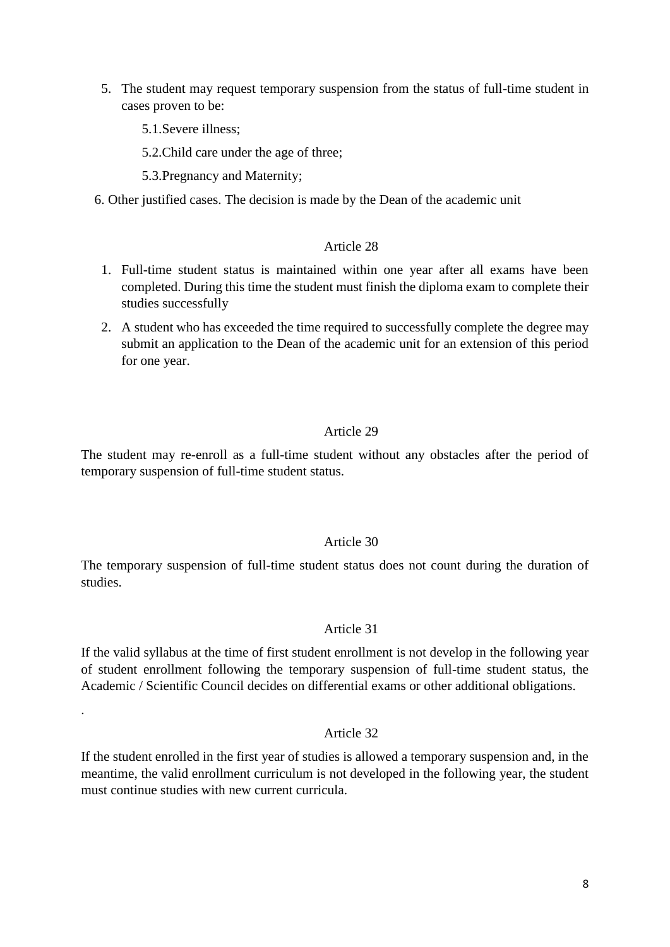- 5. The student may request temporary suspension from the status of full-time student in cases proven to be:
	- 5.1.Severe illness;

.

- 5.2.Child care under the age of three;
- 5.3.Pregnancy and Maternity;
- 6. Other justified cases. The decision is made by the Dean of the academic unit

#### Article 28

- 1. Full-time student status is maintained within one year after all exams have been completed. During this time the student must finish the diploma exam to complete their studies successfully
- 2. A student who has exceeded the time required to successfully complete the degree may submit an application to the Dean of the academic unit for an extension of this period for one year.

#### Article 29

The student may re-enroll as a full-time student without any obstacles after the period of temporary suspension of full-time student status.

### Article 30

The temporary suspension of full-time student status does not count during the duration of studies.

#### Article 31

If the valid syllabus at the time of first student enrollment is not develop in the following year of student enrollment following the temporary suspension of full-time student status, the Academic / Scientific Council decides on differential exams or other additional obligations.

### Article 32

If the student enrolled in the first year of studies is allowed a temporary suspension and, in the meantime, the valid enrollment curriculum is not developed in the following year, the student must continue studies with new current curricula.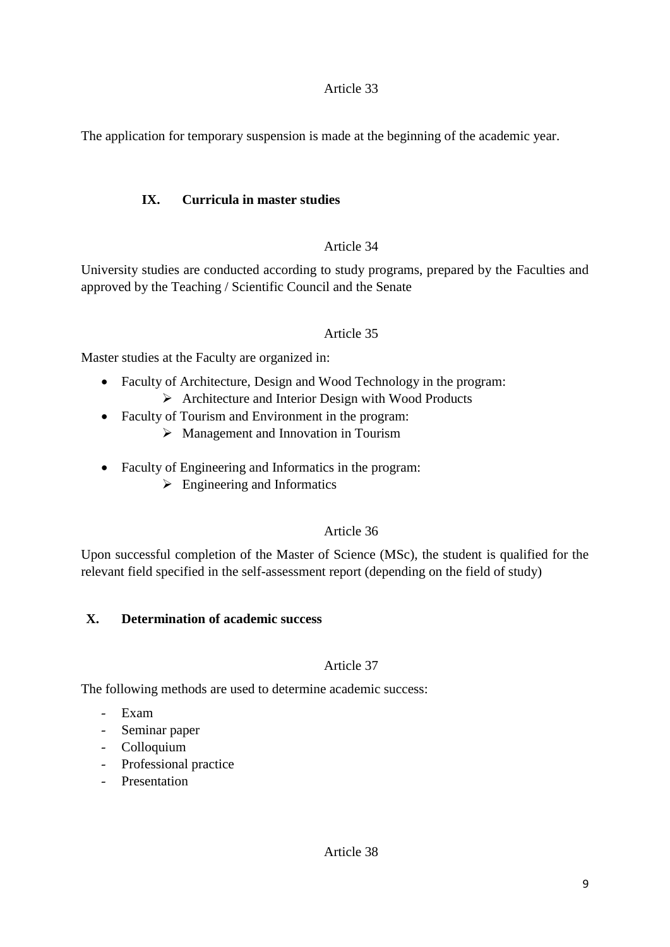The application for temporary suspension is made at the beginning of the academic year.

## **IX. Curricula in master studies**

## Article 34

University studies are conducted according to study programs, prepared by the Faculties and approved by the Teaching / Scientific Council and the Senate

## Article 35

Master studies at the Faculty are organized in:

- Faculty of Architecture, Design and Wood Technology in the program:  $\triangleright$  Architecture and Interior Design with Wood Products
- Faculty of Tourism and Environment in the program:
	- $\triangleright$  Management and Innovation in Tourism
- Faculty of Engineering and Informatics in the program:
	- $\triangleright$  Engineering and Informatics

## Article 36

Upon successful completion of the Master of Science (MSc), the student is qualified for the relevant field specified in the self-assessment report (depending on the field of study)

## **X. Determination of academic success**

## Article 37

The following methods are used to determine academic success:

- Exam
- Seminar paper
- Colloquium
- Professional practice
- Presentation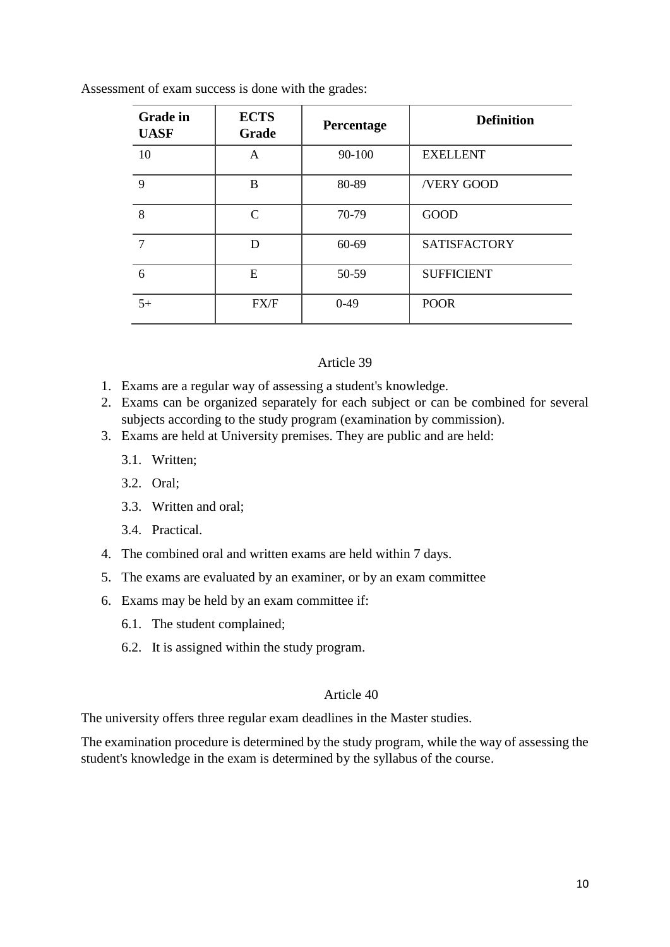Assessment of exam success is done with the grades:

| <b>Grade</b> in<br><b>UASF</b> | <b>ECTS</b><br>Grade        | Percentage | <b>Definition</b>   |
|--------------------------------|-----------------------------|------------|---------------------|
| 10                             | A                           | 90-100     | <b>EXELLENT</b>     |
| 9                              | B                           | 80-89      | /VERY GOOD          |
| 8                              | $\mathcal{C}_{\mathcal{C}}$ | 70-79      | <b>GOOD</b>         |
| 7                              | D                           | 60-69      | <b>SATISFACTORY</b> |
| 6                              | E                           | 50-59      | <b>SUFFICIENT</b>   |
| $5+$                           | FX/F                        | $0-49$     | <b>POOR</b>         |

#### Article 39

- 1. Exams are a regular way of assessing a student's knowledge.
- 2. Exams can be organized separately for each subject or can be combined for several subjects according to the study program (examination by commission).
- 3. Exams are held at University premises. They are public and are held:
	- 3.1. Written;
	- 3.2. Oral;
	- 3.3. Written and oral;
	- 3.4. Practical.
- 4. The combined oral and written exams are held within 7 days.
- 5. The exams are evaluated by an examiner, or by an exam committee
- 6. Exams may be held by an exam committee if:
	- 6.1. The student complained;
	- 6.2. It is assigned within the study program.

### Article 40

The university offers three regular exam deadlines in the Master studies.

The examination procedure is determined by the study program, while the way of assessing the student's knowledge in the exam is determined by the syllabus of the course.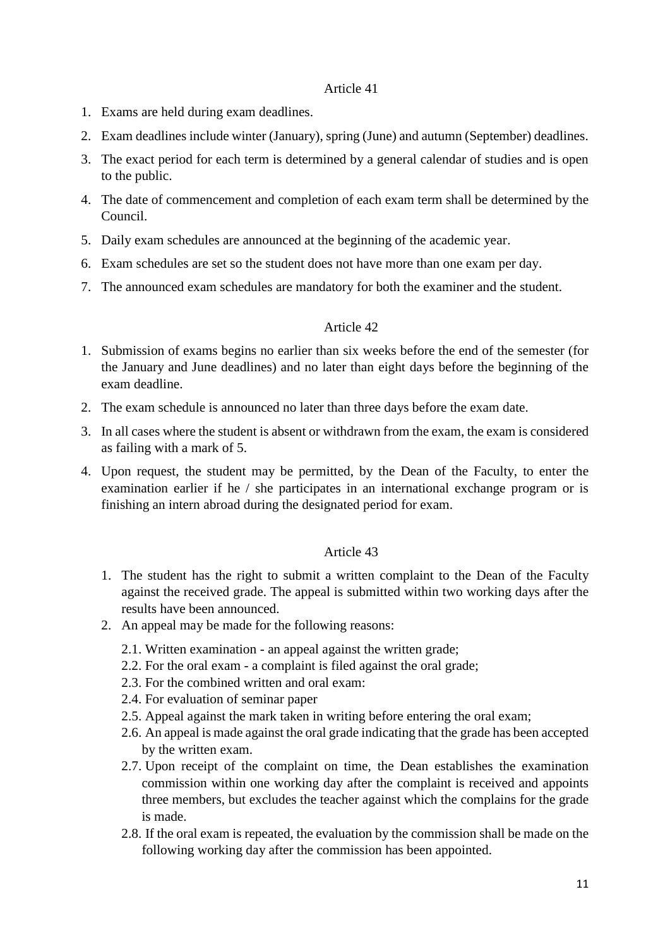- 1. Exams are held during exam deadlines.
- 2. Exam deadlines include winter (January), spring (June) and autumn (September) deadlines.
- 3. The exact period for each term is determined by a general calendar of studies and is open to the public.
- 4. The date of commencement and completion of each exam term shall be determined by the Council.
- 5. Daily exam schedules are announced at the beginning of the academic year.
- 6. Exam schedules are set so the student does not have more than one exam per day.
- 7. The announced exam schedules are mandatory for both the examiner and the student.

#### Article 42

- 1. Submission of exams begins no earlier than six weeks before the end of the semester (for the January and June deadlines) and no later than eight days before the beginning of the exam deadline.
- 2. The exam schedule is announced no later than three days before the exam date.
- 3. In all cases where the student is absent or withdrawn from the exam, the exam is considered as failing with a mark of 5.
- 4. Upon request, the student may be permitted, by the Dean of the Faculty, to enter the examination earlier if he / she participates in an international exchange program or is finishing an intern abroad during the designated period for exam.

- 1. The student has the right to submit a written complaint to the Dean of the Faculty against the received grade. The appeal is submitted within two working days after the results have been announced.
- 2. An appeal may be made for the following reasons:
	- 2.1. Written examination an appeal against the written grade;
	- 2.2. For the oral exam a complaint is filed against the oral grade;
	- 2.3. For the combined written and oral exam:
	- 2.4. For evaluation of seminar paper
	- 2.5. Appeal against the mark taken in writing before entering the oral exam;
	- 2.6. An appeal is made against the oral grade indicating that the grade has been accepted by the written exam.
	- 2.7. Upon receipt of the complaint on time, the Dean establishes the examination commission within one working day after the complaint is received and appoints three members, but excludes the teacher against which the complains for the grade is made.
	- 2.8. If the oral exam is repeated, the evaluation by the commission shall be made on the following working day after the commission has been appointed.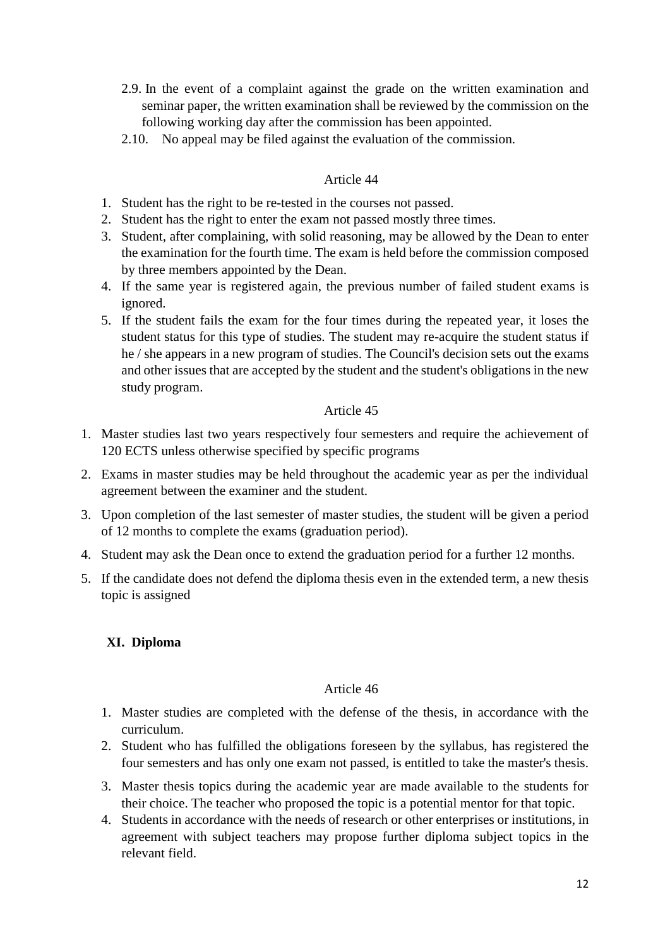- 2.9. In the event of a complaint against the grade on the written examination and seminar paper, the written examination shall be reviewed by the commission on the following working day after the commission has been appointed.
- 2.10. No appeal may be filed against the evaluation of the commission.

- 1. Student has the right to be re-tested in the courses not passed.
- 2. Student has the right to enter the exam not passed mostly three times.
- 3. Student, after complaining, with solid reasoning, may be allowed by the Dean to enter the examination for the fourth time. The exam is held before the commission composed by three members appointed by the Dean.
- 4. If the same year is registered again, the previous number of failed student exams is ignored.
- 5. If the student fails the exam for the four times during the repeated year, it loses the student status for this type of studies. The student may re-acquire the student status if he / she appears in a new program of studies. The Council's decision sets out the exams and other issues that are accepted by the student and the student's obligations in the new study program.

## Article 45

- 1. Master studies last two years respectively four semesters and require the achievement of 120 ECTS unless otherwise specified by specific programs
- 2. Exams in master studies may be held throughout the academic year as per the individual agreement between the examiner and the student.
- 3. Upon completion of the last semester of master studies, the student will be given a period of 12 months to complete the exams (graduation period).
- 4. Student may ask the Dean once to extend the graduation period for a further 12 months.
- 5. If the candidate does not defend the diploma thesis even in the extended term, a new thesis topic is assigned

## **XI. Diploma**

- 1. Master studies are completed with the defense of the thesis, in accordance with the curriculum.
- 2. Student who has fulfilled the obligations foreseen by the syllabus, has registered the four semesters and has only one exam not passed, is entitled to take the master's thesis.
- 3. Master thesis topics during the academic year are made available to the students for their choice. The teacher who proposed the topic is a potential mentor for that topic.
- 4. Students in accordance with the needs of research or other enterprises or institutions, in agreement with subject teachers may propose further diploma subject topics in the relevant field.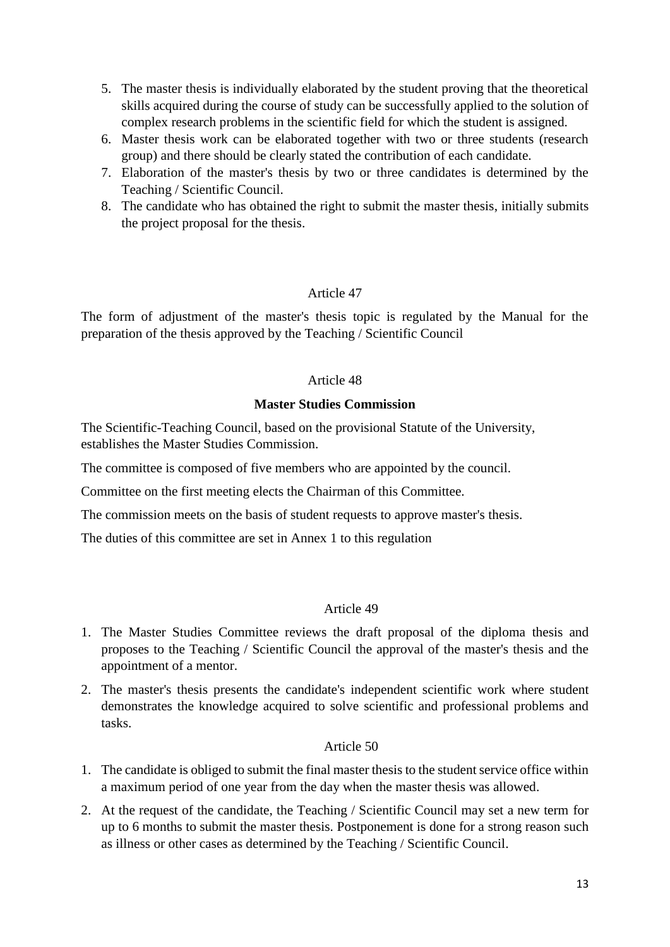- 5. The master thesis is individually elaborated by the student proving that the theoretical skills acquired during the course of study can be successfully applied to the solution of complex research problems in the scientific field for which the student is assigned.
- 6. Master thesis work can be elaborated together with two or three students (research group) and there should be clearly stated the contribution of each candidate.
- 7. Elaboration of the master's thesis by two or three candidates is determined by the Teaching / Scientific Council.
- 8. The candidate who has obtained the right to submit the master thesis, initially submits the project proposal for the thesis.

The form of adjustment of the master's thesis topic is regulated by the Manual for the preparation of the thesis approved by the Teaching / Scientific Council

## Article 48

## **Master Studies Commission**

The Scientific-Teaching Council, based on the provisional Statute of the University, establishes the Master Studies Commission.

The committee is composed of five members who are appointed by the council.

Committee on the first meeting elects the Chairman of this Committee.

The commission meets on the basis of student requests to approve master's thesis.

The duties of this committee are set in Annex 1 to this regulation

## Article 49

- 1. The Master Studies Committee reviews the draft proposal of the diploma thesis and proposes to the Teaching / Scientific Council the approval of the master's thesis and the appointment of a mentor.
- 2. The master's thesis presents the candidate's independent scientific work where student demonstrates the knowledge acquired to solve scientific and professional problems and tasks.

- 1. The candidate is obliged to submit the final master thesis to the student service office within a maximum period of one year from the day when the master thesis was allowed.
- 2. At the request of the candidate, the Teaching / Scientific Council may set a new term for up to 6 months to submit the master thesis. Postponement is done for a strong reason such as illness or other cases as determined by the Teaching / Scientific Council.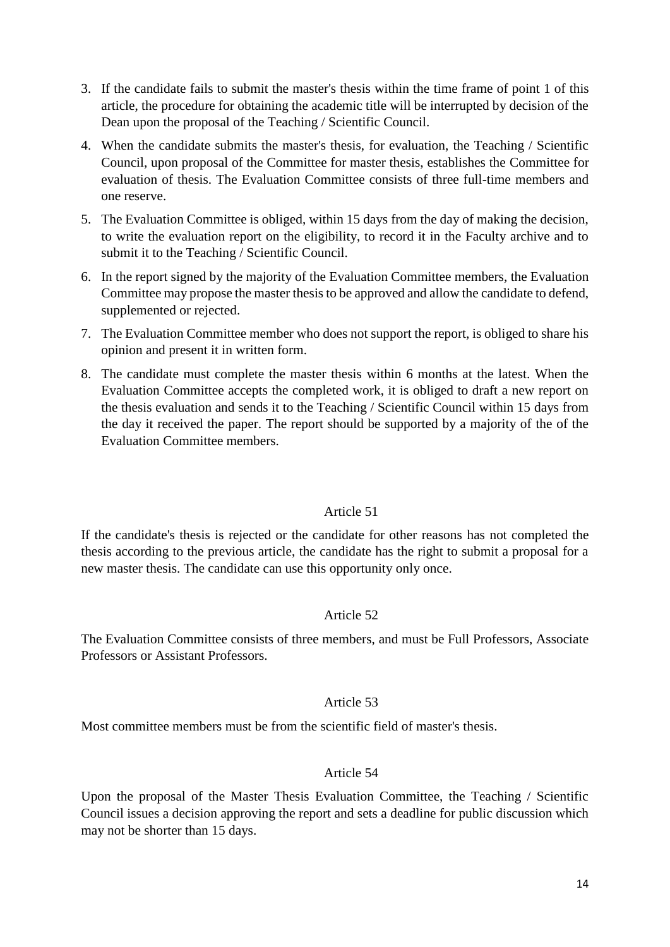- 3. If the candidate fails to submit the master's thesis within the time frame of point 1 of this article, the procedure for obtaining the academic title will be interrupted by decision of the Dean upon the proposal of the Teaching / Scientific Council.
- 4. When the candidate submits the master's thesis, for evaluation, the Teaching / Scientific Council, upon proposal of the Committee for master thesis, establishes the Committee for evaluation of thesis. The Evaluation Committee consists of three full-time members and one reserve.
- 5. The Evaluation Committee is obliged, within 15 days from the day of making the decision, to write the evaluation report on the eligibility, to record it in the Faculty archive and to submit it to the Teaching / Scientific Council.
- 6. In the report signed by the majority of the Evaluation Committee members, the Evaluation Committee may propose the master thesis to be approved and allow the candidate to defend, supplemented or rejected.
- 7. The Evaluation Committee member who does not support the report, is obliged to share his opinion and present it in written form.
- 8. The candidate must complete the master thesis within 6 months at the latest. When the Evaluation Committee accepts the completed work, it is obliged to draft a new report on the thesis evaluation and sends it to the Teaching / Scientific Council within 15 days from the day it received the paper. The report should be supported by a majority of the of the Evaluation Committee members.

If the candidate's thesis is rejected or the candidate for other reasons has not completed the thesis according to the previous article, the candidate has the right to submit a proposal for a new master thesis. The candidate can use this opportunity only once.

## Article 52

The Evaluation Committee consists of three members, and must be Full Professors, Associate Professors or Assistant Professors.

#### Article 53

Most committee members must be from the scientific field of master's thesis.

#### Article 54

Upon the proposal of the Master Thesis Evaluation Committee, the Teaching / Scientific Council issues a decision approving the report and sets a deadline for public discussion which may not be shorter than 15 days.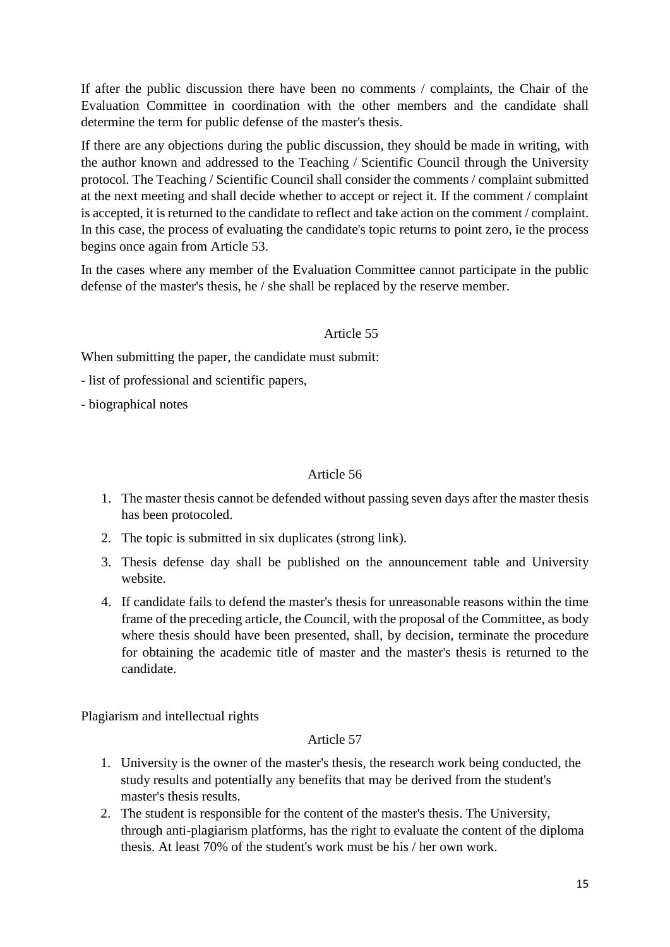If after the public discussion there have been no comments / complaints, the Chair of the Evaluation Committee in coordination with the other members and the candidate shall determine the term for public defense of the master's thesis.

If there are any objections during the public discussion, they should be made in writing, with the author known and addressed to the Teaching / Scientific Council through the University protocol. The Teaching / Scientific Council shall consider the comments / complaint submitted at the next meeting and shall decide whether to accept or reject it. If the comment / complaint is accepted, it is returned to the candidate to reflect and take action on the comment / complaint. In this case, the process of evaluating the candidate's topic returns to point zero, ie the process begins once again from Article 53.

In the cases where any member of the Evaluation Committee cannot participate in the public defense of the master's thesis, he / she shall be replaced by the reserve member.

## Article 55

When submitting the paper, the candidate must submit:

- list of professional and scientific papers,

- biographical notes

## Article 56

- 1. The master thesis cannot be defended without passing seven days after the master thesis has been protocoled.
- 2. The topic is submitted in six duplicates (strong link).
- 3. Thesis defense day shall be published on the announcement table and University website.
- 4. If candidate fails to defend the master's thesis for unreasonable reasons within the time frame of the preceding article, the Council, with the proposal of the Committee, as body where thesis should have been presented, shall, by decision, terminate the procedure for obtaining the academic title of master and the master's thesis is returned to the candidate.

Plagiarism and intellectual rights

- 1. University is the owner of the master's thesis, the research work being conducted, the study results and potentially any benefits that may be derived from the student's master's thesis results.
- 2. The student is responsible for the content of the master's thesis. The University, through anti-plagiarism platforms, has the right to evaluate the content of the diploma thesis. At least 70% of the student's work must be his / her own work.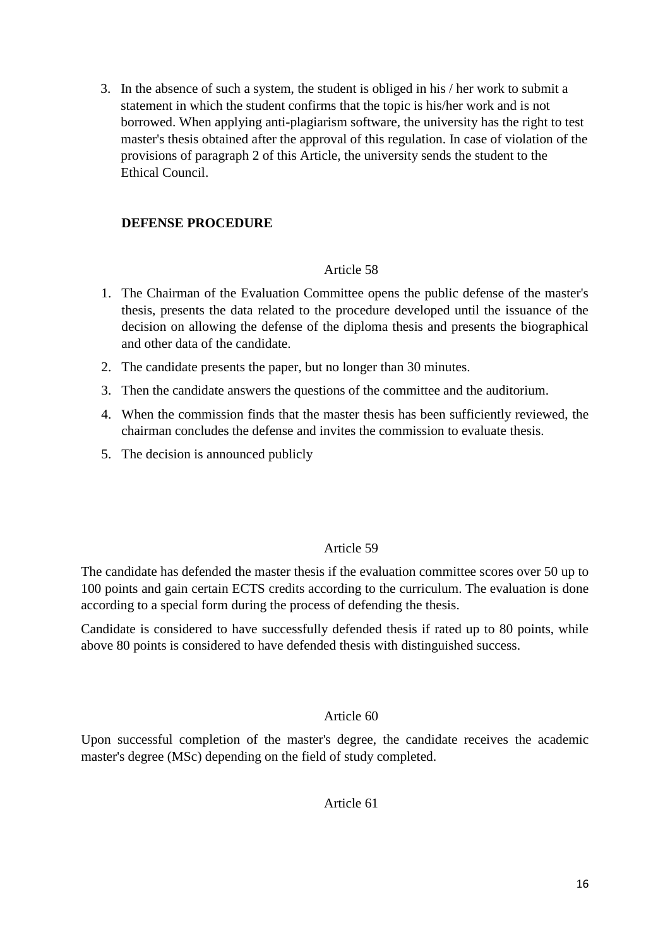3. In the absence of such a system, the student is obliged in his / her work to submit a statement in which the student confirms that the topic is his/her work and is not borrowed. When applying anti-plagiarism software, the university has the right to test master's thesis obtained after the approval of this regulation. In case of violation of the provisions of paragraph 2 of this Article, the university sends the student to the Ethical Council.

## **DEFENSE PROCEDURE**

## Article 58

- 1. The Chairman of the Evaluation Committee opens the public defense of the master's thesis, presents the data related to the procedure developed until the issuance of the decision on allowing the defense of the diploma thesis and presents the biographical and other data of the candidate.
- 2. The candidate presents the paper, but no longer than 30 minutes.
- 3. Then the candidate answers the questions of the committee and the auditorium.
- 4. When the commission finds that the master thesis has been sufficiently reviewed, the chairman concludes the defense and invites the commission to evaluate thesis.
- 5. The decision is announced publicly

## Article 59

The candidate has defended the master thesis if the evaluation committee scores over 50 up to 100 points and gain certain ECTS credits according to the curriculum. The evaluation is done according to a special form during the process of defending the thesis.

Candidate is considered to have successfully defended thesis if rated up to 80 points, while above 80 points is considered to have defended thesis with distinguished success.

#### Article 60

Upon successful completion of the master's degree, the candidate receives the academic master's degree (MSc) depending on the field of study completed.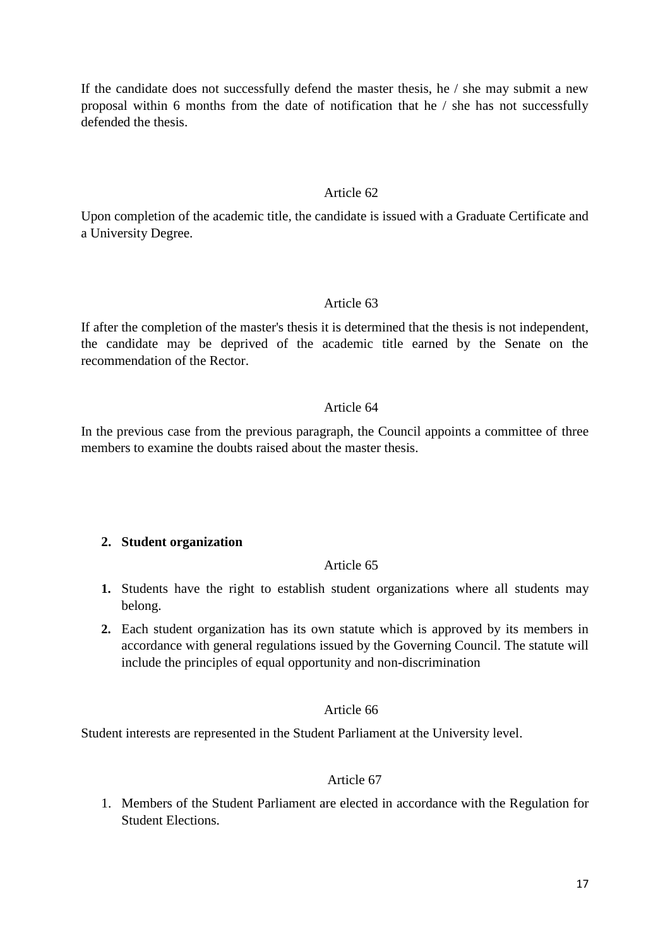If the candidate does not successfully defend the master thesis, he / she may submit a new proposal within 6 months from the date of notification that he / she has not successfully defended the thesis.

#### Article 62

Upon completion of the academic title, the candidate is issued with a Graduate Certificate and a University Degree.

#### Article 63

If after the completion of the master's thesis it is determined that the thesis is not independent, the candidate may be deprived of the academic title earned by the Senate on the recommendation of the Rector.

#### Article 64

In the previous case from the previous paragraph, the Council appoints a committee of three members to examine the doubts raised about the master thesis.

#### **2. Student organization**

#### Article 65

- **1.** Students have the right to establish student organizations where all students may belong.
- **2.** Each student organization has its own statute which is approved by its members in accordance with general regulations issued by the Governing Council. The statute will include the principles of equal opportunity and non-discrimination

#### Article 66

Student interests are represented in the Student Parliament at the University level.

#### Article 67

1. Members of the Student Parliament are elected in accordance with the Regulation for Student Elections.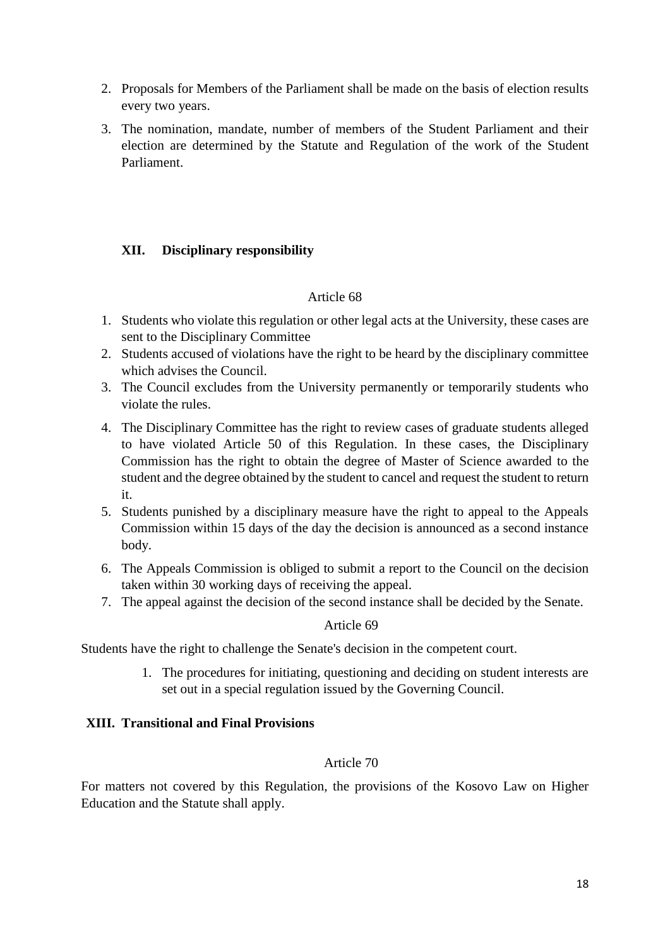- 2. Proposals for Members of the Parliament shall be made on the basis of election results every two years.
- 3. The nomination, mandate, number of members of the Student Parliament and their election are determined by the Statute and Regulation of the work of the Student Parliament.

## **XII. Disciplinary responsibility**

## Article 68

- 1. Students who violate this regulation or other legal acts at the University, these cases are sent to the Disciplinary Committee
- 2. Students accused of violations have the right to be heard by the disciplinary committee which advises the Council.
- 3. The Council excludes from the University permanently or temporarily students who violate the rules.
- 4. The Disciplinary Committee has the right to review cases of graduate students alleged to have violated Article 50 of this Regulation. In these cases, the Disciplinary Commission has the right to obtain the degree of Master of Science awarded to the student and the degree obtained by the student to cancel and request the student to return it.
- 5. Students punished by a disciplinary measure have the right to appeal to the Appeals Commission within 15 days of the day the decision is announced as a second instance body.
- 6. The Appeals Commission is obliged to submit a report to the Council on the decision taken within 30 working days of receiving the appeal.
- 7. The appeal against the decision of the second instance shall be decided by the Senate.

## Article 69

Students have the right to challenge the Senate's decision in the competent court.

1. The procedures for initiating, questioning and deciding on student interests are set out in a special regulation issued by the Governing Council.

## **XIII. Transitional and Final Provisions**

## Article 70

For matters not covered by this Regulation, the provisions of the Kosovo Law on Higher Education and the Statute shall apply.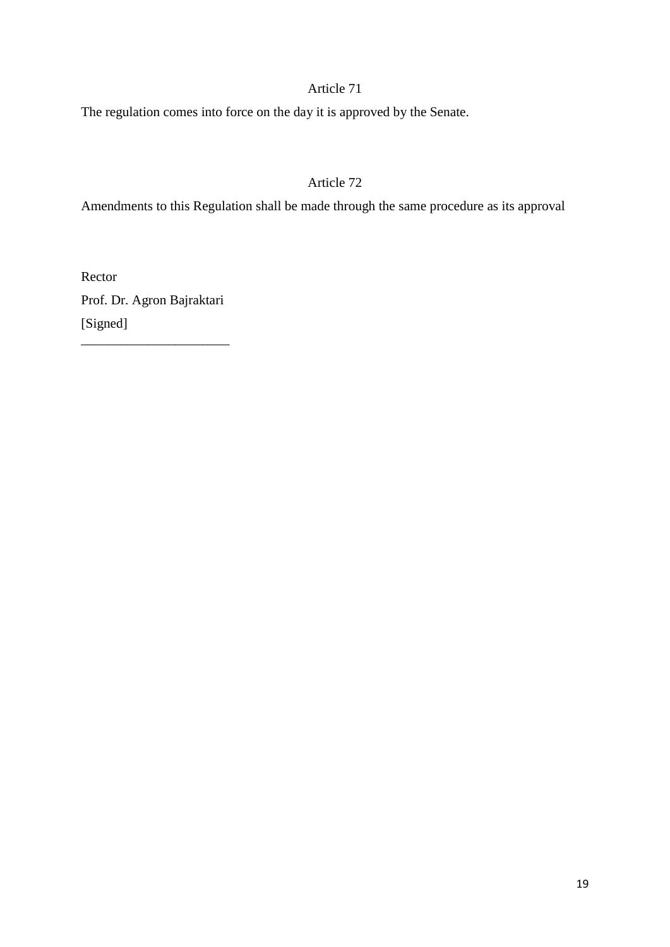The regulation comes into force on the day it is approved by the Senate.

# Article 72

Amendments to this Regulation shall be made through the same procedure as its approval

Rector Prof. Dr. Agron Bajraktari [Signed] \_\_\_\_\_\_\_\_\_\_\_\_\_\_\_\_\_\_\_\_\_\_